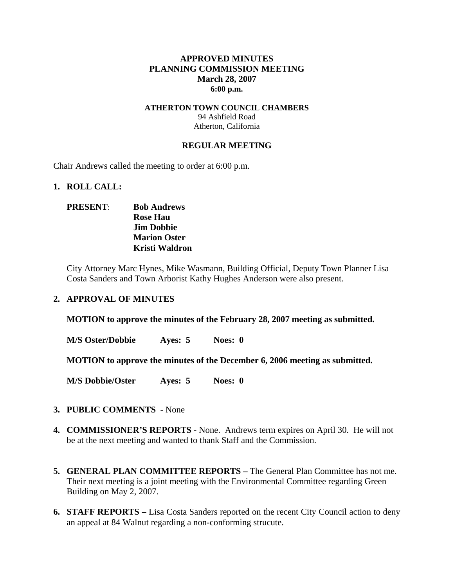### **APPROVED MINUTES PLANNING COMMISSION MEETING March 28, 2007 6:00 p.m.**

### **ATHERTON TOWN COUNCIL CHAMBERS**  94 Ashfield Road Atherton, California

#### **REGULAR MEETING**

Chair Andrews called the meeting to order at 6:00 p.m.

#### **1. ROLL CALL:**

## **PRESENT**: **Bob Andrews Rose Hau Jim Dobbie Marion Oster Kristi Waldron**

City Attorney Marc Hynes, Mike Wasmann, Building Official, Deputy Town Planner Lisa Costa Sanders and Town Arborist Kathy Hughes Anderson were also present.

#### **2. APPROVAL OF MINUTES**

**MOTION to approve the minutes of the February 28, 2007 meeting as submitted.** 

**M/S Oster/Dobbie Ayes: 5 Noes: 0** 

**MOTION to approve the minutes of the December 6, 2006 meeting as submitted.** 

**M/S Dobbie/Oster Ayes: 5 Noes: 0**

- **3. PUBLIC COMMENTS** None
- **4. COMMISSIONER'S REPORTS -** None. Andrews term expires on April 30. He will not be at the next meeting and wanted to thank Staff and the Commission.
- **5. GENERAL PLAN COMMITTEE REPORTS –** The General Plan Committee has not me. Their next meeting is a joint meeting with the Environmental Committee regarding Green Building on May 2, 2007.
- **6. STAFF REPORTS** Lisa Costa Sanders reported on the recent City Council action to deny an appeal at 84 Walnut regarding a non-conforming strucute.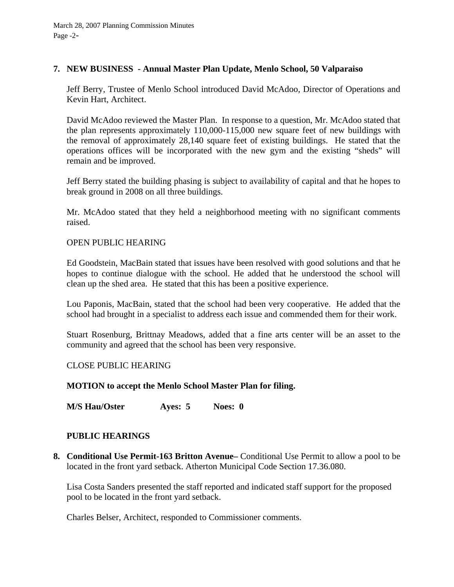## **7. NEW BUSINESS - Annual Master Plan Update, Menlo School, 50 Valparaiso**

Jeff Berry, Trustee of Menlo School introduced David McAdoo, Director of Operations and Kevin Hart, Architect.

David McAdoo reviewed the Master Plan. In response to a question, Mr. McAdoo stated that the plan represents approximately 110,000-115,000 new square feet of new buildings with the removal of approximately 28,140 square feet of existing buildings. He stated that the operations offices will be incorporated with the new gym and the existing "sheds" will remain and be improved.

Jeff Berry stated the building phasing is subject to availability of capital and that he hopes to break ground in 2008 on all three buildings.

Mr. McAdoo stated that they held a neighborhood meeting with no significant comments raised.

### OPEN PUBLIC HEARING

Ed Goodstein, MacBain stated that issues have been resolved with good solutions and that he hopes to continue dialogue with the school. He added that he understood the school will clean up the shed area. He stated that this has been a positive experience.

Lou Paponis, MacBain, stated that the school had been very cooperative. He added that the school had brought in a specialist to address each issue and commended them for their work.

Stuart Rosenburg, Brittnay Meadows, added that a fine arts center will be an asset to the community and agreed that the school has been very responsive.

### CLOSE PUBLIC HEARING

### **MOTION to accept the Menlo School Master Plan for filing.**

**M/S Hau/Oster Ayes: 5 Noes: 0** 

### **PUBLIC HEARINGS**

**8. Conditional Use Permit-163 Britton Avenue–** Conditional Use Permit to allow a pool to be located in the front yard setback. Atherton Municipal Code Section 17.36.080.

Lisa Costa Sanders presented the staff reported and indicated staff support for the proposed pool to be located in the front yard setback.

Charles Belser, Architect, responded to Commissioner comments.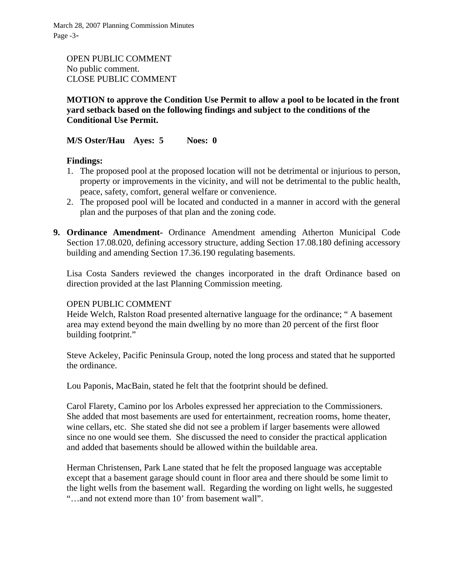March 28, 2007 Planning Commission Minutes Page -3-

OPEN PUBLIC COMMENT No public comment. CLOSE PUBLIC COMMENT

# **MOTION to approve the Condition Use Permit to allow a pool to be located in the front yard setback based on the following findings and subject to the conditions of the Conditional Use Permit.**

**M/S Oster/Hau Ayes: 5 Noes: 0** 

### **Findings:**

- 1. The proposed pool at the proposed location will not be detrimental or injurious to person, property or improvements in the vicinity, and will not be detrimental to the public health, peace, safety, comfort, general welfare or convenience.
- 2. The proposed pool will be located and conducted in a manner in accord with the general plan and the purposes of that plan and the zoning code.
- **9. Ordinance Amendment-** Ordinance Amendment amending Atherton Municipal Code Section 17.08.020, defining accessory structure, adding Section 17.08.180 defining accessory building and amending Section 17.36.190 regulating basements.

Lisa Costa Sanders reviewed the changes incorporated in the draft Ordinance based on direction provided at the last Planning Commission meeting.

### OPEN PUBLIC COMMENT

Heide Welch, Ralston Road presented alternative language for the ordinance; " A basement area may extend beyond the main dwelling by no more than 20 percent of the first floor building footprint."

Steve Ackeley, Pacific Peninsula Group, noted the long process and stated that he supported the ordinance.

Lou Paponis, MacBain, stated he felt that the footprint should be defined.

Carol Flarety, Camino por los Arboles expressed her appreciation to the Commissioners. She added that most basements are used for entertainment, recreation rooms, home theater, wine cellars, etc. She stated she did not see a problem if larger basements were allowed since no one would see them. She discussed the need to consider the practical application and added that basements should be allowed within the buildable area.

Herman Christensen, Park Lane stated that he felt the proposed language was acceptable except that a basement garage should count in floor area and there should be some limit to the light wells from the basement wall. Regarding the wording on light wells, he suggested "…and not extend more than 10' from basement wall".